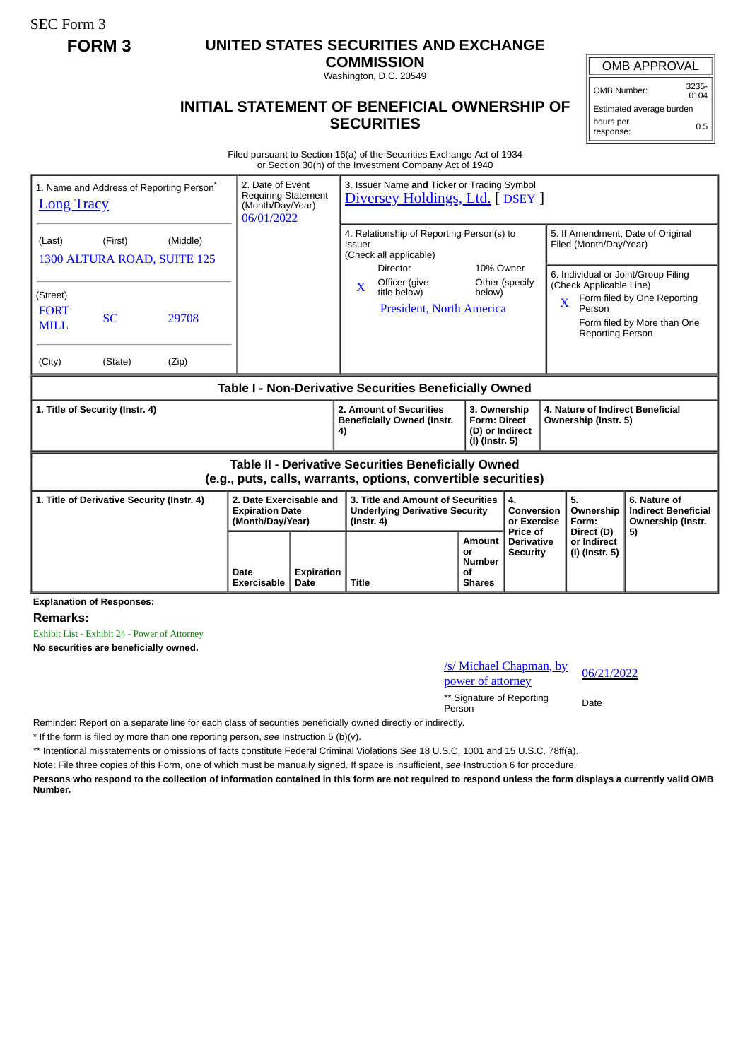SEC Form 3

## **FORM 3 UNITED STATES SECURITIES AND EXCHANGE**

**COMMISSION**

Washington, D.C. 20549

## OMB APPROVAL

OMB Number: 3235-  $0104$ 

Estimated average burden hours per response: 0.5

## **INITIAL STATEMENT OF BENEFICIAL OWNERSHIP OF SECURITIES**

Filed pursuant to Section 16(a) of the Securities Exchange Act of 1934 or Section 30(h) of the Investment Company Act of 1940

| <b>Long Tracy</b>                                                                                                     | 1. Name and Address of Reporting Person <sup>*</sup> |                | 2. Date of Event<br>3. Issuer Name and Ticker or Trading Symbol<br><b>Requiring Statement</b><br>Diversey Holdings, Ltd. [ DSEY ]<br>(Month/Day/Year)<br>06/01/2022 |                           |                                                                                                |                                                                                                  |                                                      |                                                          |                                                                                                                                                                                            |                                             |                                                                 |
|-----------------------------------------------------------------------------------------------------------------------|------------------------------------------------------|----------------|---------------------------------------------------------------------------------------------------------------------------------------------------------------------|---------------------------|------------------------------------------------------------------------------------------------|--------------------------------------------------------------------------------------------------|------------------------------------------------------|----------------------------------------------------------|--------------------------------------------------------------------------------------------------------------------------------------------------------------------------------------------|---------------------------------------------|-----------------------------------------------------------------|
| (Middle)<br>(First)<br>(Last)<br>1300 ALTURA ROAD, SUITE 125                                                          |                                                      |                |                                                                                                                                                                     |                           |                                                                                                | 4. Relationship of Reporting Person(s) to<br>Issuer<br>(Check all applicable)<br><b>Director</b> |                                                      | 10% Owner                                                | 5. If Amendment, Date of Original<br>Filed (Month/Day/Year)                                                                                                                                |                                             |                                                                 |
| (Street)<br><b>FORT</b><br><b>MILL</b><br>(City)                                                                      | SC<br>(State)                                        | 29708<br>(Zip) |                                                                                                                                                                     |                           | Officer (give<br>$\mathbf{X}$<br>title below)<br><b>President, North America</b>               |                                                                                                  | Other (specify<br>below)                             |                                                          | 6. Individual or Joint/Group Filing<br>(Check Applicable Line)<br>Form filed by One Reporting<br>$\overline{\text{X}}$<br>Person<br>Form filed by More than One<br><b>Reporting Person</b> |                                             |                                                                 |
| Table I - Non-Derivative Securities Beneficially Owned                                                                |                                                      |                |                                                                                                                                                                     |                           |                                                                                                |                                                                                                  |                                                      |                                                          |                                                                                                                                                                                            |                                             |                                                                 |
|                                                                                                                       | 1. Title of Security (Instr. 4)                      |                |                                                                                                                                                                     | 4)                        | 2. Amount of Securities<br><b>Beneficially Owned (Instr.</b>                                   | 3. Ownership<br><b>Form: Direct</b><br>(D) or Indirect<br>(I) (Instr. 5)                         |                                                      | 4. Nature of Indirect Beneficial<br>Ownership (Instr. 5) |                                                                                                                                                                                            |                                             |                                                                 |
| Table II - Derivative Securities Beneficially Owned<br>(e.g., puts, calls, warrants, options, convertible securities) |                                                      |                |                                                                                                                                                                     |                           |                                                                                                |                                                                                                  |                                                      |                                                          |                                                                                                                                                                                            |                                             |                                                                 |
| 1. Title of Derivative Security (Instr. 4)                                                                            |                                                      |                | 2. Date Exercisable and<br><b>Expiration Date</b><br>(Month/Day/Year)                                                                                               |                           | 3. Title and Amount of Securities<br><b>Underlying Derivative Security</b><br>$($ lnstr. 4 $)$ |                                                                                                  |                                                      | 4.<br><b>Conversion</b><br>or Exercise                   |                                                                                                                                                                                            | 5.<br>Ownership<br>Form:                    | 6. Nature of<br><b>Indirect Beneficial</b><br>Ownership (Instr. |
|                                                                                                                       |                                                      |                | Date<br><b>Exercisable</b>                                                                                                                                          | <b>Expiration</b><br>Date | <b>Title</b>                                                                                   |                                                                                                  | Amount<br>or<br><b>Number</b><br>of<br><b>Shares</b> | <b>Price of</b><br><b>Derivative</b><br><b>Security</b>  |                                                                                                                                                                                            | Direct (D)<br>or Indirect<br>(I) (Instr. 5) | 5)                                                              |

**Explanation of Responses:**

**Remarks:**

Exhibit List - Exhibit 24 - Power of Attorney

**No securities are beneficially owned.**

/s/ Michael Chapman, by <u>s/S/Michael Chapman, by</u><br>power of attorney 06/21/2022

\*\* Signature of Reporting Person Date

Reminder: Report on a separate line for each class of securities beneficially owned directly or indirectly.

\* If the form is filed by more than one reporting person, *see* Instruction 5 (b)(v).

\*\* Intentional misstatements or omissions of facts constitute Federal Criminal Violations *See* 18 U.S.C. 1001 and 15 U.S.C. 78ff(a).

Note: File three copies of this Form, one of which must be manually signed. If space is insufficient, *see* Instruction 6 for procedure.

**Persons who respond to the collection of information contained in this form are not required to respond unless the form displays a currently valid OMB Number.**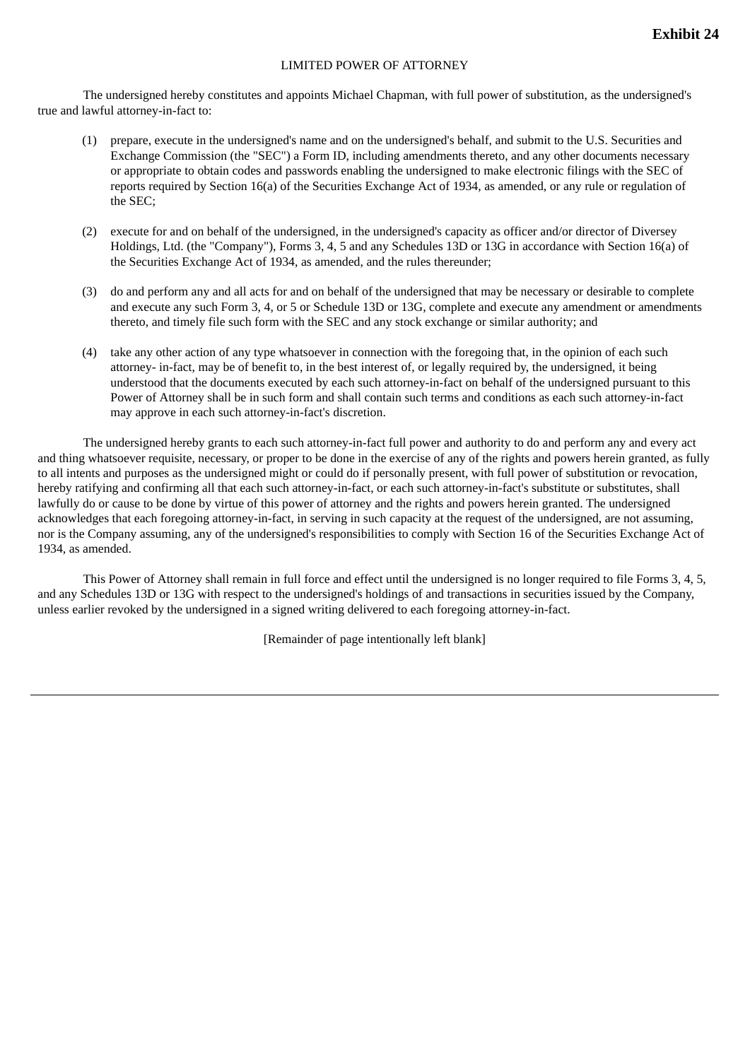## LIMITED POWER OF ATTORNEY

The undersigned hereby constitutes and appoints Michael Chapman, with full power of substitution, as the undersigned's true and lawful attorney-in-fact to:

- (1) prepare, execute in the undersigned's name and on the undersigned's behalf, and submit to the U.S. Securities and Exchange Commission (the "SEC") a Form ID, including amendments thereto, and any other documents necessary or appropriate to obtain codes and passwords enabling the undersigned to make electronic filings with the SEC of reports required by Section 16(a) of the Securities Exchange Act of 1934, as amended, or any rule or regulation of the SEC;
- (2) execute for and on behalf of the undersigned, in the undersigned's capacity as officer and/or director of Diversey Holdings, Ltd. (the "Company"), Forms 3, 4, 5 and any Schedules 13D or 13G in accordance with Section 16(a) of the Securities Exchange Act of 1934, as amended, and the rules thereunder;
- (3) do and perform any and all acts for and on behalf of the undersigned that may be necessary or desirable to complete and execute any such Form 3, 4, or 5 or Schedule 13D or 13G, complete and execute any amendment or amendments thereto, and timely file such form with the SEC and any stock exchange or similar authority; and
- (4) take any other action of any type whatsoever in connection with the foregoing that, in the opinion of each such attorney- in-fact, may be of benefit to, in the best interest of, or legally required by, the undersigned, it being understood that the documents executed by each such attorney-in-fact on behalf of the undersigned pursuant to this Power of Attorney shall be in such form and shall contain such terms and conditions as each such attorney-in-fact may approve in each such attorney-in-fact's discretion.

The undersigned hereby grants to each such attorney-in-fact full power and authority to do and perform any and every act and thing whatsoever requisite, necessary, or proper to be done in the exercise of any of the rights and powers herein granted, as fully to all intents and purposes as the undersigned might or could do if personally present, with full power of substitution or revocation, hereby ratifying and confirming all that each such attorney-in-fact, or each such attorney-in-fact's substitute or substitutes, shall lawfully do or cause to be done by virtue of this power of attorney and the rights and powers herein granted. The undersigned acknowledges that each foregoing attorney-in-fact, in serving in such capacity at the request of the undersigned, are not assuming, nor is the Company assuming, any of the undersigned's responsibilities to comply with Section 16 of the Securities Exchange Act of 1934, as amended.

This Power of Attorney shall remain in full force and effect until the undersigned is no longer required to file Forms 3, 4, 5, and any Schedules 13D or 13G with respect to the undersigned's holdings of and transactions in securities issued by the Company, unless earlier revoked by the undersigned in a signed writing delivered to each foregoing attorney-in-fact.

[Remainder of page intentionally left blank]